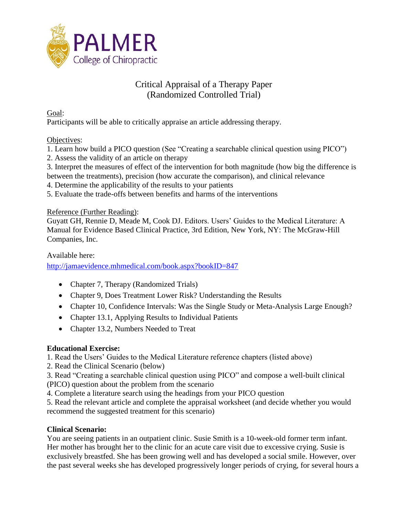

## Critical Appraisal of a Therapy Paper (Randomized Controlled Trial)

Goal:

Participants will be able to critically appraise an article addressing therapy.

#### Objectives:

1. Learn how build a PICO question (See "Creating a searchable clinical question using PICO")

2. Assess the validity of an article on therapy

3. Interpret the measures of effect of the intervention for both magnitude (how big the difference is between the treatments), precision (how accurate the comparison), and clinical relevance

- 4. Determine the applicability of the results to your patients
- 5. Evaluate the trade-offs between benefits and harms of the interventions

#### Reference (Further Reading):

Guyatt GH, Rennie D, Meade M, Cook DJ. Editors. Users' Guides to the Medical Literature: A Manual for Evidence Based Clinical Practice, 3rd Edition, New York, NY: The McGraw-Hill Companies, Inc.

Available here:

<http://jamaevidence.mhmedical.com/book.aspx?bookID=847>

- Chapter 7, Therapy (Randomized Trials)
- Chapter 9, Does Treatment Lower Risk? Understanding the Results
- Chapter 10, Confidence Intervals: Was the Single Study or Meta-Analysis Large Enough?
- Chapter 13.1, Applying Results to Individual Patients
- Chapter 13.2, Numbers Needed to Treat

## **Educational Exercise:**

1. Read the Users' Guides to the Medical Literature reference chapters (listed above)

2. Read the Clinical Scenario (below)

3. Read "Creating a searchable clinical question using PICO" and compose a well-built clinical (PICO) question about the problem from the scenario

4. Complete a literature search using the headings from your PICO question

5. Read the relevant article and complete the appraisal worksheet (and decide whether you would recommend the suggested treatment for this scenario)

## **Clinical Scenario:**

You are seeing patients in an outpatient clinic. Susie Smith is a 10-week-old former term infant. Her mother has brought her to the clinic for an acute care visit due to excessive crying. Susie is exclusively breastfed. She has been growing well and has developed a social smile. However, over the past several weeks she has developed progressively longer periods of crying, for several hours a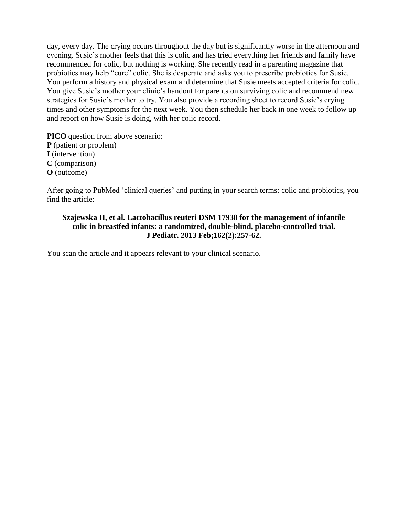day, every day. The crying occurs throughout the day but is significantly worse in the afternoon and evening. Susie's mother feels that this is colic and has tried everything her friends and family have recommended for colic, but nothing is working. She recently read in a parenting magazine that probiotics may help "cure" colic. She is desperate and asks you to prescribe probiotics for Susie. You perform a history and physical exam and determine that Susie meets accepted criteria for colic. You give Susie's mother your clinic's handout for parents on surviving colic and recommend new strategies for Susie's mother to try. You also provide a recording sheet to record Susie's crying times and other symptoms for the next week. You then schedule her back in one week to follow up and report on how Susie is doing, with her colic record.

**PICO** question from above scenario: **P** (patient or problem) **I** (intervention) **C** (comparison) **O** (outcome)

After going to PubMed 'clinical queries' and putting in your search terms: colic and probiotics, you find the article:

#### **Szajewska H, et al. Lactobacillus reuteri DSM 17938 for the management of infantile colic in breastfed infants: a randomized, double-blind, placebo-controlled trial. J Pediatr. 2013 Feb;162(2):257-62.**

You scan the article and it appears relevant to your clinical scenario.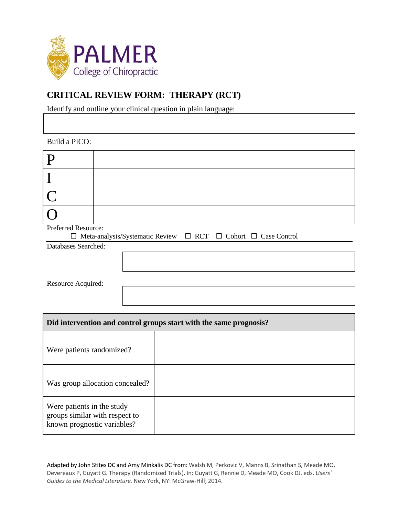

# **CRITICAL REVIEW FORM: THERAPY (RCT)**

Identify and outline your clinical question in plain language:

| Build a PICO:                                                                                                 |  |  |  |  |
|---------------------------------------------------------------------------------------------------------------|--|--|--|--|
| P                                                                                                             |  |  |  |  |
| $\mathbf I$                                                                                                   |  |  |  |  |
| $\overline{\overline{C}}$                                                                                     |  |  |  |  |
|                                                                                                               |  |  |  |  |
| Preferred Resource:<br>$\Box$ Meta-analysis/Systematic Review<br>$\Box$ RCT $\Box$ Cohort $\Box$ Case Control |  |  |  |  |
| Databases Searched:                                                                                           |  |  |  |  |
|                                                                                                               |  |  |  |  |
|                                                                                                               |  |  |  |  |
| Resource Acquired:                                                                                            |  |  |  |  |
|                                                                                                               |  |  |  |  |
|                                                                                                               |  |  |  |  |
| Did intervention and control groups start with the same prognosis?                                            |  |  |  |  |
| Were patients randomized?                                                                                     |  |  |  |  |
| Was group allocation concealed?                                                                               |  |  |  |  |
| Were patients in the study<br>groups similar with respect to<br>known prognostic variables?                   |  |  |  |  |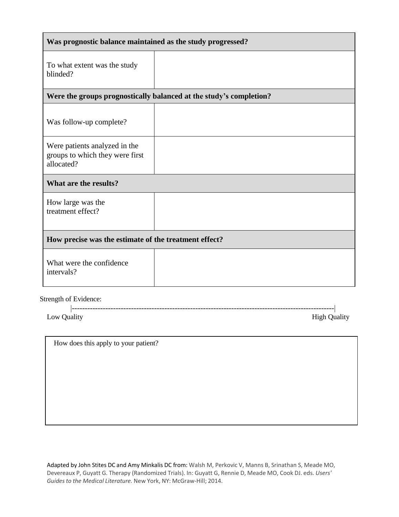| Was prognostic balance maintained as the study progressed?                     |  |  |  |  |
|--------------------------------------------------------------------------------|--|--|--|--|
| To what extent was the study<br>blinded?                                       |  |  |  |  |
| Were the groups prognostically balanced at the study's completion?             |  |  |  |  |
| Was follow-up complete?                                                        |  |  |  |  |
| Were patients analyzed in the<br>groups to which they were first<br>allocated? |  |  |  |  |
| What are the results?                                                          |  |  |  |  |
| How large was the<br>treatment effect?                                         |  |  |  |  |
| How precise was the estimate of the treatment effect?                          |  |  |  |  |
| What were the confidence<br>intervals?                                         |  |  |  |  |
| Strength of Evidence <sup>.</sup>                                              |  |  |  |  |

Strength of Evidence:

------------------------------------------------------------------------------------------------------

High Quality

How does this apply to your patient?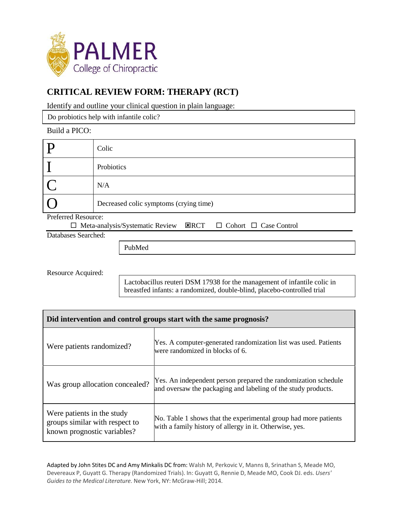

# **CRITICAL REVIEW FORM: THERAPY (RCT)**

Identify and outline your clinical question in plain language:

Do probiotics help with infantile colic?

#### Build a PICO:

|                                                                                                 | Colic                                  |  |  |  |
|-------------------------------------------------------------------------------------------------|----------------------------------------|--|--|--|
|                                                                                                 | Probiotics                             |  |  |  |
|                                                                                                 | N/A                                    |  |  |  |
|                                                                                                 | Decreased colic symptoms (crying time) |  |  |  |
| Preferred Resource:                                                                             |                                        |  |  |  |
| $\mathbf{Z}$ RCT<br>$\Box$ Meta-analysis/Systematic Review<br>$\Box$ Cohort $\Box$ Case Control |                                        |  |  |  |

Databases Searched:

PubMed

Resource Acquired:

Lactobacillus reuteri DSM 17938 for the management of infantile colic in breastfed infants: a randomized, double-blind, placebo-controlled trial

| Did intervention and control groups start with the same prognosis?                          |                                                                                                                                 |  |  |  |
|---------------------------------------------------------------------------------------------|---------------------------------------------------------------------------------------------------------------------------------|--|--|--|
| Were patients randomized?                                                                   | Yes. A computer-generated randomization list was used. Patients<br>were randomized in blocks of 6.                              |  |  |  |
| Was group allocation concealed?                                                             | Yes. An independent person prepared the randomization schedule<br>and oversaw the packaging and labeling of the study products. |  |  |  |
| Were patients in the study<br>groups similar with respect to<br>known prognostic variables? | No. Table 1 shows that the experimental group had more patients<br>with a family history of allergy in it. Otherwise, yes.      |  |  |  |